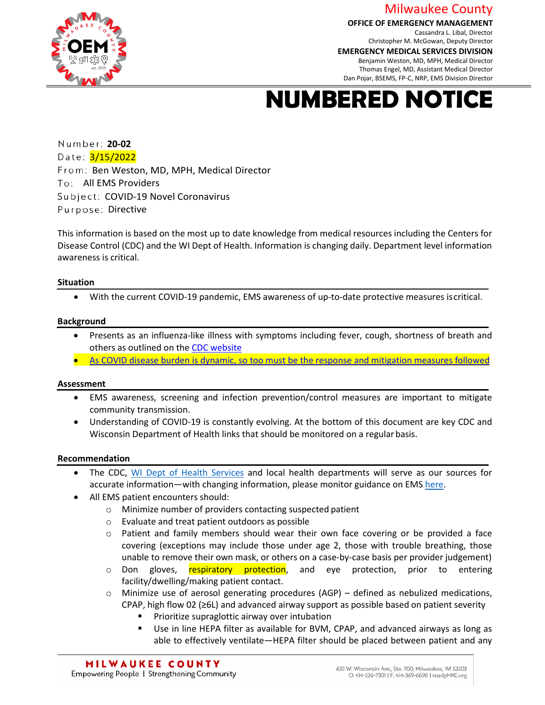Milwaukee County

**OFFICE OF EMERGENCY MANAGEMENT**

Cassandra L. Libal, Director Christopher M. McGowan, Deputy Director



**EMERGENCY MEDICAL SERVICES DIVISION**

Benjamin Weston, MD, MPH, Medical Director Thomas Engel, MD, Assistant Medical Director Dan Pojar, BSEMS, FP-C, NRP, EMS Division Director

## **NUMBERED NOTICE**

 **20-02** Date: 3/15/2022 From: Ben Weston, MD, MPH, Medical Director To: All EMS Providers Subject: COVID-19 Novel Coronavirus Purpose: Directive

This information is based on the most up to date knowledge from medical resources including the Centers for Disease Control (CDC) and the WI Dept of Health. Information is changing daily. Department level information awareness is critical.

#### **Situation**

• With the current COVID-19 pandemic, EMS awareness of up-to-date protective measures iscritical.

#### **Background**

- Presents as an influenza-like illness with symptoms including fever, cough, shortness of breath and others as outlined on th[e CDC website](https://www.cdc.gov/coronavirus/2019-ncov/symptoms-testing/symptoms.html)
- As COVID disease burden is dynamic, so too must be the response and mitigation measures followed

#### **Assessment**

- EMS awareness, screening and infection prevention/control measures are important to mitigate community transmission.
- Understanding of COVID-19 is constantly evolving. At the bottom of this document are key CDC and Wisconsin Department of Health links that should be monitored on a regular basis.

#### **Recommendation**

- The CDC, [WI Dept of Health](https://www.dhs.wisconsin.gov/outbreaks/index.htm) Services and local health departments will serve as our sources for accurate information—with changing information, please monitor guidance on EMS [here.](https://www.cdc.gov/coronavirus/2019-ncov/hcp/guidance-for-ems.html)
- All EMS patient encounters should:
	- o Minimize number of providers contacting suspected patient
	- o Evaluate and treat patient outdoors as possible
	- $\circ$  Patient and family members should wear their own face covering or be provided a face covering (exceptions may include those under age 2, those with trouble breathing, those unable to remove their own mask, or others on a case-by-case basis per provider judgement)
	- o Don gloves, respiratory protection, and eye protection, prior to entering facility/dwelling/making patient contact.
	- $\circ$  Minimize use of aerosol generating procedures (AGP) defined as nebulized medications, CPAP, high flow 02 (≥6L) and advanced airway support as possible based on patient severity
		- Prioritize supraglottic airway over intubation
		- Use in line HEPA filter as available for BVM, CPAP, and advanced airways as long as able to effectively ventilate—HEPA filter should be placed between patient and any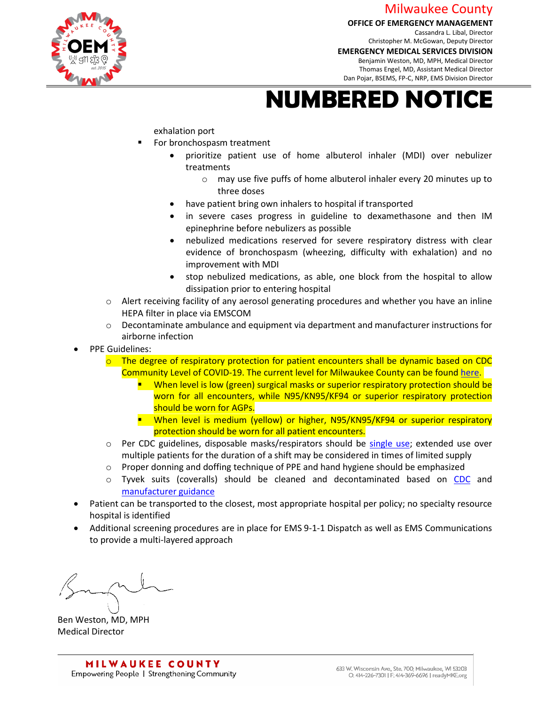### Milwaukee County

#### **OFFICE OF EMERGENCY MANAGEMENT**

Cassandra L. Libal, Director Christopher M. McGowan, Deputy Director



**EMERGENCY MEDICAL SERVICES DIVISION** Benjamin Weston, MD, MPH, Medical Director Thomas Engel, MD, Assistant Medical Director Dan Pojar, BSEMS, FP-C, NRP, EMS Division Director

# **NUMBERED NOTICE**

exhalation port

- For bronchospasm treatment
	- prioritize patient use of home albuterol inhaler (MDI) over nebulizer treatments
		- o may use five puffs of home albuterol inhaler every 20 minutes up to three doses
	- have patient bring own inhalers to hospital if transported
	- in severe cases progress in guideline to dexamethasone and then IM epinephrine before nebulizers as possible
	- nebulized medications reserved for severe respiratory distress with clear evidence of bronchospasm (wheezing, difficulty with exhalation) and no improvement with MDI
	- stop nebulized medications, as able, one block from the hospital to allow dissipation prior to entering hospital
- $\circ$  Alert receiving facility of any aerosol generating procedures and whether you have an inline HEPA filter in place via EMSCOM
- $\circ$  Decontaminate ambulance and equipment via department and manufacturer instructions for airborne infection
- PPE Guidelines:
	- $\circ$  The degree of respiratory protection for patient encounters shall be dynamic based on CDC Community Level of COVID-19. The current level for Milwaukee County can be found [here.](https://www.cdc.gov/coronavirus/2019-ncov/science/community-levels.html)
		- **When level is low (green) surgical masks or superior respiratory protection should be** worn for all encounters, while N95/KN95/KF94 or superior respiratory protection should be worn for AGPs.
		- **•** When level is medium (yellow) or higher, N95/KN95/KF94 or superior respiratory protection should be worn for all patient encounters.
	- $\circ$  Per CDC guidelines, disposable masks/respirators should be [single use;](https://www.cdc.gov/coronavirus/2019-ncov/hcp/respirators-strategy/index.html) extended use over multiple patients for the duration of a shift may be considered in times of limited supply
	- $\circ$  Proper donning and doffing technique of PPE and hand hygiene should be emphasized
	- o Tyvek suits (coveralls) should be cleaned and decontaminated based on [CDC](https://www.cdc.gov/coronavirus/2019-ncov/hcp/ppe-strategy/isolation-gowns.html) and [manufacturer guidance](https://www.dupont.com/content/dam/dupont/amer/us/en/personal-protection/public/documents/en/Cleaning%20Guidelines%20for%20DuPont(TM)%20Tychem(R)%20Garments.pdf)
- Patient can be transported to the closest, most appropriate hospital per policy; no specialty resource hospital is identified
- Additional screening procedures are in place for EMS 9-1-1 Dispatch as well as EMS Communications to provide a multi-layered approach

Ben Weston, MD, MPH Medical Director